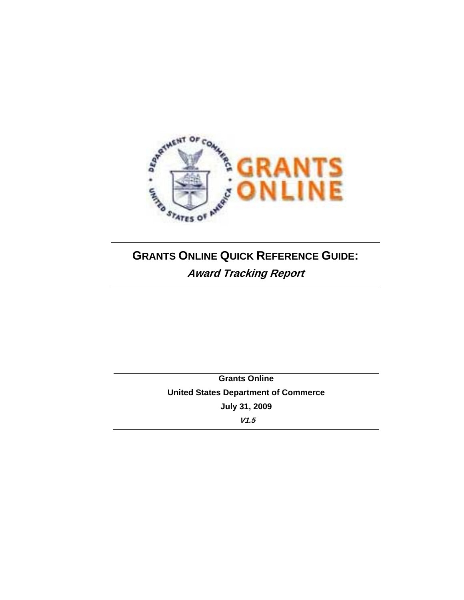

# **GRANTS ONLINE QUICK REFERENCE GUIDE: Award Tracking Report**

**Grants Online United States Department of Commerce July 31, 2009 V1.5**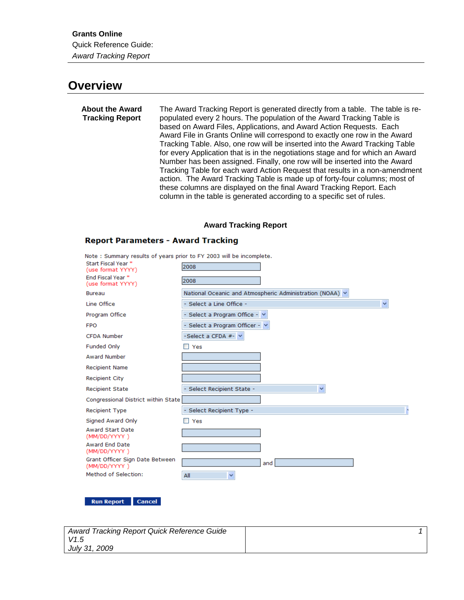## **Overview**

**About the Award Tracking Report**  The Award Tracking Report is generated directly from a table. The table is repopulated every 2 hours. The population of the Award Tracking Table is based on Award Files, Applications, and Award Action Requests. Each Award File in Grants Online will correspond to exactly one row in the Award Tracking Table. Also, one row will be inserted into the Award Tracking Table for every Application that is in the negotiations stage and for which an Award Number has been assigned. Finally, one row will be inserted into the Award Tracking Table for each ward Action Request that results in a non-amendment action. The Award Tracking Table is made up of forty-four columns; most of these columns are displayed on the final Award Tracking Report. Each column in the table is generated according to a specific set of rules.

#### **Award Tracking Report**

#### **Report Parameters - Award Tracking**

|                                                 | Note: Summary results of years prior to FY 2003 will be incomplete. |              |
|-------------------------------------------------|---------------------------------------------------------------------|--------------|
| Start Fiscal Year *<br>(use format YYYY)        | 2008                                                                |              |
| End Fiscal Year *<br>(use format YYYY)          | 2008                                                                |              |
| Bureau                                          | National Oceanic and Atmospheric Administration (NOAA) v            |              |
| Line Office                                     | - Select a Line Office -                                            | $\checkmark$ |
| Program Office                                  | - Select a Program Office - v                                       |              |
| <b>FPO</b>                                      | - Select a Program Officer - V                                      |              |
| <b>CFDA Number</b>                              | -Select a CFDA #- V                                                 |              |
| Funded Only                                     | Yes                                                                 |              |
| <b>Award Number</b>                             |                                                                     |              |
| <b>Recipient Name</b>                           |                                                                     |              |
| <b>Recipient City</b>                           |                                                                     |              |
| <b>Recipient State</b>                          | $\checkmark$<br>- Select Recipient State -                          |              |
| Congressional District within State             |                                                                     |              |
| <b>Recipient Type</b>                           | - Select Recipient Type -                                           |              |
| Signed Award Only                               | Yes                                                                 |              |
| <b>Award Start Date</b><br>(MM/DD/YYYY)         |                                                                     |              |
| <b>Award End Date</b><br>(MM/DD/YYYY)           |                                                                     |              |
| Grant Officer Sign Date Between<br>(MM/DD/YYYY) | and                                                                 |              |
| Method of Selection:                            | All<br>$\checkmark$                                                 |              |

**Run Report Cancel** 

| Award Tracking Report Quick Reference Guide |  |
|---------------------------------------------|--|
| V1.5                                        |  |
| July 31, 2009                               |  |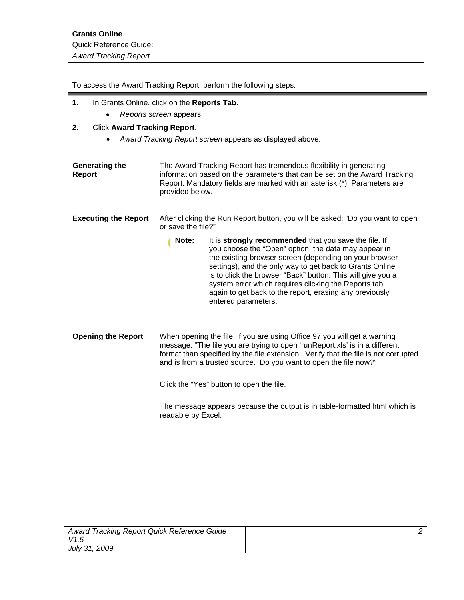To access the Award Tracking Report, perform the following steps:

#### **1.** In Grants Online, click on the **Reports Tab**.

• *Reports screen* appears.

#### **2.** Click **Award Tracking Report**.

• *Award Tracking Report screen* appears as displayed above.

| Generating the<br>Report    | The Award Tracking Report has tremendous flexibility in generating<br>information based on the parameters that can be set on the Award Tracking<br>Report. Mandatory fields are marked with an asterisk (*). Parameters are<br>provided below. |
|-----------------------------|------------------------------------------------------------------------------------------------------------------------------------------------------------------------------------------------------------------------------------------------|
| <b>Executing the Report</b> | After clicking the Run Report button, you will be asked: "Do you want to open<br>or save the file?"                                                                                                                                            |

- **Note:** It is **strongly recommended** that you save the file. If you choose the "Open" option, the data may appear in the existing browser screen (depending on your browser settings), and the only way to get back to Grants Online is to click the browser "Back" button. This will give you a system error which requires clicking the Reports tab again to get back to the report, erasing any previously entered parameters.
- **Opening the Report** When opening the file, if you are using Office 97 you will get a warning message: "The file you are trying to open 'runReport.xls' is in a different format than specified by the file extension. Verify that the file is not corrupted and is from a trusted source. Do you want to open the file now?"

Click the "Yes" button to open the file.

The message appears because the output is in table-formatted html which is readable by Excel.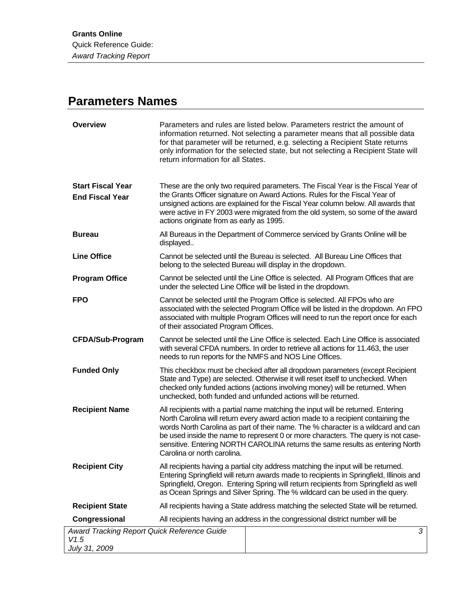# **Parameters Names**

| <b>Overview</b>                                                             | Parameters and rules are listed below. Parameters restrict the amount of<br>information returned. Not selecting a parameter means that all possible data<br>for that parameter will be returned, e.g. selecting a Recipient State returns<br>only information for the selected state, but not selecting a Recipient State will<br>return information for all States.                                                                                           |  |  |
|-----------------------------------------------------------------------------|----------------------------------------------------------------------------------------------------------------------------------------------------------------------------------------------------------------------------------------------------------------------------------------------------------------------------------------------------------------------------------------------------------------------------------------------------------------|--|--|
| <b>Start Fiscal Year</b><br><b>End Fiscal Year</b>                          | These are the only two required parameters. The Fiscal Year is the Fiscal Year of<br>the Grants Officer signature on Award Actions. Rules for the Fiscal Year of<br>unsigned actions are explained for the Fiscal Year column below. All awards that<br>were active in FY 2003 were migrated from the old system, so some of the award<br>actions originate from as early as 1995.                                                                             |  |  |
| <b>Bureau</b>                                                               | All Bureaus in the Department of Commerce serviced by Grants Online will be<br>displayed                                                                                                                                                                                                                                                                                                                                                                       |  |  |
| <b>Line Office</b>                                                          | Cannot be selected until the Bureau is selected. All Bureau Line Offices that<br>belong to the selected Bureau will display in the dropdown.                                                                                                                                                                                                                                                                                                                   |  |  |
| <b>Program Office</b>                                                       | Cannot be selected until the Line Office is selected. All Program Offices that are<br>under the selected Line Office will be listed in the dropdown.                                                                                                                                                                                                                                                                                                           |  |  |
| <b>FPO</b>                                                                  | Cannot be selected until the Program Office is selected. All FPOs who are<br>associated with the selected Program Office will be listed in the dropdown. An FPO<br>associated with multiple Program Offices will need to run the report once for each<br>of their associated Program Offices.                                                                                                                                                                  |  |  |
| <b>CFDA/Sub-Program</b>                                                     | Cannot be selected until the Line Office is selected. Each Line Office is associated<br>with several CFDA numbers. In order to retrieve all actions for 11.463, the user<br>needs to run reports for the NMFS and NOS Line Offices.                                                                                                                                                                                                                            |  |  |
| <b>Funded Only</b>                                                          | This checkbox must be checked after all dropdown parameters (except Recipient<br>State and Type) are selected. Otherwise it will reset itself to unchecked. When<br>checked only funded actions (actions involving money) will be returned. When<br>unchecked, both funded and unfunded actions will be returned.                                                                                                                                              |  |  |
| <b>Recipient Name</b>                                                       | All recipients with a partial name matching the input will be returned. Entering<br>North Carolina will return every award action made to a recipient containing the<br>words North Carolina as part of their name. The % character is a wildcard and can<br>be used inside the name to represent 0 or more characters. The query is not case-<br>sensitive. Entering NORTH CAROLINA returns the same results as entering North<br>Carolina or north carolina. |  |  |
| <b>Recipient City</b>                                                       | All recipients having a partial city address matching the input will be returned.<br>Entering Springfield will return awards made to recipients in Springfield, Illinois and<br>Springfield, Oregon. Entering Spring will return recipients from Springfield as well<br>as Ocean Springs and Silver Spring. The % wildcard can be used in the query.                                                                                                           |  |  |
| <b>Recipient State</b>                                                      | All recipients having a State address matching the selected State will be returned.                                                                                                                                                                                                                                                                                                                                                                            |  |  |
| Congressional                                                               | All recipients having an address in the congressional district number will be                                                                                                                                                                                                                                                                                                                                                                                  |  |  |
| <b>Award Tracking Report Quick Reference Guide</b><br>V1.5<br>July 31, 2009 | 3                                                                                                                                                                                                                                                                                                                                                                                                                                                              |  |  |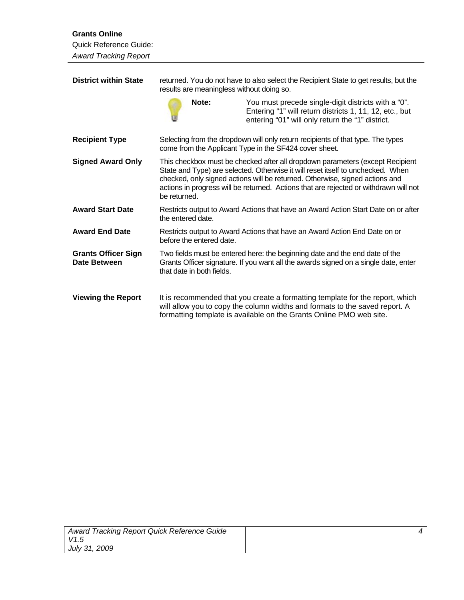### **Grants Online**

### Quick Reference Guide: *Award Tracking Report*

| <b>District within State</b>               | returned. You do not have to also select the Recipient State to get results, but the<br>results are meaningless without doing so.                                                                                                                                                                                                                         |                                                                                                                                                                                                                                     |  |
|--------------------------------------------|-----------------------------------------------------------------------------------------------------------------------------------------------------------------------------------------------------------------------------------------------------------------------------------------------------------------------------------------------------------|-------------------------------------------------------------------------------------------------------------------------------------------------------------------------------------------------------------------------------------|--|
|                                            | Note:                                                                                                                                                                                                                                                                                                                                                     | You must precede single-digit districts with a "0".<br>Entering "1" will return districts 1, 11, 12, etc., but<br>entering "01" will only return the "1" district.                                                                  |  |
| <b>Recipient Type</b>                      | Selecting from the dropdown will only return recipients of that type. The types<br>come from the Applicant Type in the SF424 cover sheet.                                                                                                                                                                                                                 |                                                                                                                                                                                                                                     |  |
| <b>Signed Award Only</b>                   | This checkbox must be checked after all dropdown parameters (except Recipient<br>State and Type) are selected. Otherwise it will reset itself to unchecked. When<br>checked, only signed actions will be returned. Otherwise, signed actions and<br>actions in progress will be returned. Actions that are rejected or withdrawn will not<br>be returned. |                                                                                                                                                                                                                                     |  |
| <b>Award Start Date</b>                    | the entered date.                                                                                                                                                                                                                                                                                                                                         | Restricts output to Award Actions that have an Award Action Start Date on or after                                                                                                                                                  |  |
| <b>Award End Date</b>                      | before the entered date.                                                                                                                                                                                                                                                                                                                                  | Restricts output to Award Actions that have an Award Action End Date on or                                                                                                                                                          |  |
| <b>Grants Officer Sign</b><br>Date Between | that date in both fields.                                                                                                                                                                                                                                                                                                                                 | Two fields must be entered here: the beginning date and the end date of the<br>Grants Officer signature. If you want all the awards signed on a single date, enter                                                                  |  |
| <b>Viewing the Report</b>                  |                                                                                                                                                                                                                                                                                                                                                           | It is recommended that you create a formatting template for the report, which<br>will allow you to copy the column widths and formats to the saved report. A<br>formatting template is available on the Grants Online PMO web site. |  |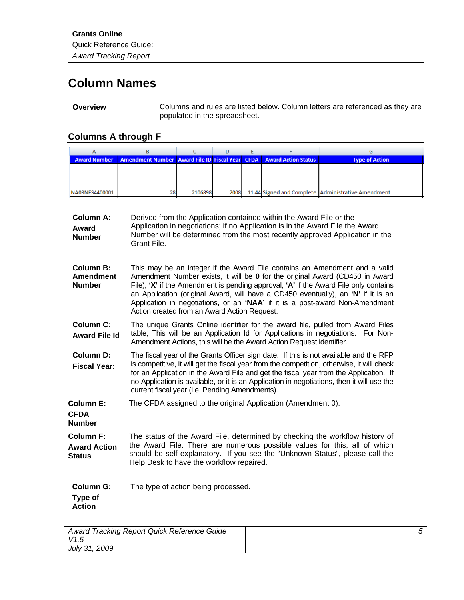# **Column Names**

**Overview** Columns and rules are listed below. Column letters are referenced as they are populated in the spreadsheet.

### **Columns A through F**

| <b>Award Number</b> | Amendment Number   Award File ID   Fiscal Year   CFDA   Award Action Status |         |      |  | <b>Type of Action</b>                              |
|---------------------|-----------------------------------------------------------------------------|---------|------|--|----------------------------------------------------|
|                     |                                                                             |         |      |  |                                                    |
|                     |                                                                             |         |      |  |                                                    |
|                     |                                                                             |         |      |  |                                                    |
| NA03NES4400001      | 28                                                                          | 2106898 | 2008 |  | 11.44 Signed and Complete Administrative Amendment |

**Column A: Award Number**  Derived from the Application contained within the Award File or the Application in negotiations; if no Application is in the Award File the Award Number will be determined from the most recently approved Application in the Grant File.

- **Column B: Amendment Number**  This may be an integer if the Award File contains an Amendment and a valid Amendment Number exists, it will be **0** for the original Award (CD450 in Award File), **'X'** if the Amendment is pending approval, **'A'** if the Award File only contains an Application (original Award, will have a CD450 eventually), an **'N'** if it is an Application in negotiations, or an **'NAA'** if it is a post-award Non-Amendment Action created from an Award Action Request.
- **Column C: Award File Id**  The unique Grants Online identifier for the award file, pulled from Award Files table; This will be an Application Id for Applications in negotiations. For Non-Amendment Actions, this will be the Award Action Request identifier.
- **Column D: Fiscal Year:**  The fiscal year of the Grants Officer sign date. If this is not available and the RFP is competitive, it will get the fiscal year from the competition, otherwise, it will check for an Application in the Award File and get the fiscal year from the Application. If no Application is available, or it is an Application in negotiations, then it will use the current fiscal year (i.e. Pending Amendments).
- **Column E:**  The CFDA assigned to the original Application (Amendment 0).

| CFDA   |  |
|--------|--|
| Number |  |

- **Column F: Award Action Status**  The status of the Award File, determined by checking the workflow history of the Award File. There are numerous possible values for this, all of which should be self explanatory. If you see the "Unknown Status", please call the Help Desk to have the workflow repaired.
- **Column G: Type of Action**  The type of action being processed.

| Award Tracking Report Quick Reference Guide |  |
|---------------------------------------------|--|
| V1.5                                        |  |
| July 31, 2009                               |  |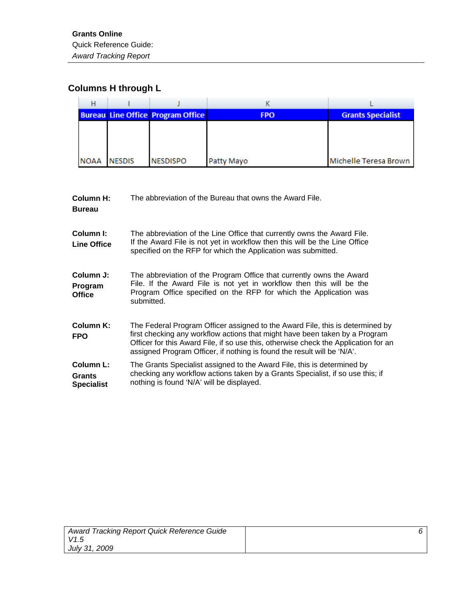## **Columns H through L**

|             |               | <b>Bureau Line Office Program Office</b> | <b>FPO</b> | <b>Grants Specialist</b> |
|-------------|---------------|------------------------------------------|------------|--------------------------|
|             |               |                                          |            |                          |
|             |               |                                          |            |                          |
|             |               |                                          |            |                          |
| <b>NOAA</b> | <b>NESDIS</b> | <b>NESDISPO</b>                          | Patty Mayo | Michelle Teresa Brown    |

| <b>Column H:</b><br><b>Bureau</b>               | The abbreviation of the Bureau that owns the Award File.                                                                                                                                                                                                                                                                       |
|-------------------------------------------------|--------------------------------------------------------------------------------------------------------------------------------------------------------------------------------------------------------------------------------------------------------------------------------------------------------------------------------|
| Column I:<br><b>Line Office</b>                 | The abbreviation of the Line Office that currently owns the Award File.<br>If the Award File is not yet in workflow then this will be the Line Office<br>specified on the RFP for which the Application was submitted.                                                                                                         |
| Column J:<br>Program<br><b>Office</b>           | The abbreviation of the Program Office that currently owns the Award<br>File. If the Award File is not yet in workflow then this will be the<br>Program Office specified on the RFP for which the Application was<br>submitted.                                                                                                |
| <b>Column K:</b><br><b>FPO</b>                  | The Federal Program Officer assigned to the Award File, this is determined by<br>first checking any workflow actions that might have been taken by a Program<br>Officer for this Award File, if so use this, otherwise check the Application for an<br>assigned Program Officer, if nothing is found the result will be 'N/A'. |
| Column L:<br><b>Grants</b><br><b>Specialist</b> | The Grants Specialist assigned to the Award File, this is determined by<br>checking any workflow actions taken by a Grants Specialist, if so use this; if<br>nothing is found 'N/A' will be displayed.                                                                                                                         |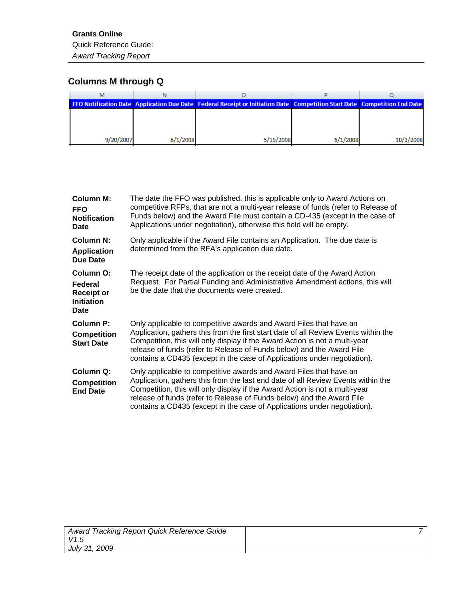## **Columns M through Q**

|           |          | FFO Notification Date   Application Due Date   Federal Receipt or Initiation Date   Competition Start Date   Competition End Date |          |           |
|-----------|----------|-----------------------------------------------------------------------------------------------------------------------------------|----------|-----------|
|           |          |                                                                                                                                   |          |           |
|           |          |                                                                                                                                   |          |           |
|           |          |                                                                                                                                   |          |           |
| 9/20/2007 | 6/1/2008 | 5/19/2008                                                                                                                         | 6/1/2008 | 10/3/2008 |

| <b>Column M:</b><br><b>FFO</b><br><b>Notification</b><br>Date          | The date the FFO was published, this is applicable only to Award Actions on<br>competitive RFPs, that are not a multi-year release of funds (refer to Release of<br>Funds below) and the Award File must contain a CD-435 (except in the case of<br>Applications under negotiation), otherwise this field will be empty.                                                                      |
|------------------------------------------------------------------------|-----------------------------------------------------------------------------------------------------------------------------------------------------------------------------------------------------------------------------------------------------------------------------------------------------------------------------------------------------------------------------------------------|
| Column N:<br><b>Application</b><br>Due Date                            | Only applicable if the Award File contains an Application. The due date is<br>determined from the RFA's application due date.                                                                                                                                                                                                                                                                 |
| Column O:<br>Federal<br><b>Receipt or</b><br><b>Initiation</b><br>Date | The receipt date of the application or the receipt date of the Award Action<br>Request. For Partial Funding and Administrative Amendment actions, this will<br>be the date that the documents were created.                                                                                                                                                                                   |
| <b>Column P:</b><br><b>Competition</b><br><b>Start Date</b>            | Only applicable to competitive awards and Award Files that have an<br>Application, gathers this from the first start date of all Review Events within the<br>Competition, this will only display if the Award Action is not a multi-year<br>release of funds (refer to Release of Funds below) and the Award File<br>contains a CD435 (except in the case of Applications under negotiation). |
| Column Q:<br><b>Competition</b><br><b>End Date</b>                     | Only applicable to competitive awards and Award Files that have an<br>Application, gathers this from the last end date of all Review Events within the<br>Competition, this will only display if the Award Action is not a multi-year<br>release of funds (refer to Release of Funds below) and the Award File<br>contains a CD435 (except in the case of Applications under negotiation).    |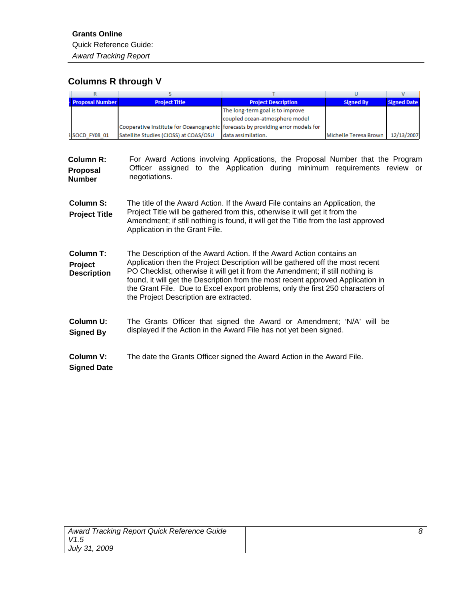## **Columns R through V**

| R                                                 | S                                                                               |                                                                                                                                                                                                                                                                                                                                                                                                              | U                     | v                  |
|---------------------------------------------------|---------------------------------------------------------------------------------|--------------------------------------------------------------------------------------------------------------------------------------------------------------------------------------------------------------------------------------------------------------------------------------------------------------------------------------------------------------------------------------------------------------|-----------------------|--------------------|
| <b>Proposal Number</b>                            | <b>Project Title</b>                                                            | <b>Project Description</b>                                                                                                                                                                                                                                                                                                                                                                                   | <b>Signed By</b>      | <b>Signed Date</b> |
|                                                   |                                                                                 | The long-term goal is to improve                                                                                                                                                                                                                                                                                                                                                                             |                       |                    |
|                                                   |                                                                                 | coupled ocean-atmosphere model                                                                                                                                                                                                                                                                                                                                                                               |                       |                    |
|                                                   | Cooperative Institute for Oceanographic forecasts by providing error models for | data assimilation.                                                                                                                                                                                                                                                                                                                                                                                           |                       |                    |
| SOCD FY08 01                                      | Satellite Studies (CIOSS) at COAS/OSU                                           |                                                                                                                                                                                                                                                                                                                                                                                                              | Michelle Teresa Brown | 12/13/2007         |
| Column R:<br>Proposal<br><b>Number</b>            | negotiations.                                                                   | For Award Actions involving Applications, the Proposal Number that the Program<br>Officer assigned to the Application during minimum requirements review or                                                                                                                                                                                                                                                  |                       |                    |
| <b>Column S:</b><br><b>Project Title</b>          | Application in the Grant File.                                                  | The title of the Award Action. If the Award File contains an Application, the<br>Project Title will be gathered from this, otherwise it will get it from the<br>Amendment; if still nothing is found, it will get the Title from the last approved                                                                                                                                                           |                       |                    |
| <b>Column T:</b><br>Project<br><b>Description</b> | the Project Description are extracted.                                          | The Description of the Award Action. If the Award Action contains an<br>Application then the Project Description will be gathered off the most recent<br>PO Checklist, otherwise it will get it from the Amendment; if still nothing is<br>found, it will get the Description from the most recent approved Application in<br>the Grant File. Due to Excel export problems, only the first 250 characters of |                       |                    |
| Column U:<br><b>Signed By</b>                     |                                                                                 | The Grants Officer that signed the Award or Amendment; 'N/A' will be<br>displayed if the Action in the Award File has not yet been signed.                                                                                                                                                                                                                                                                   |                       |                    |
| <b>Column V:</b><br><b>Signed Date</b>            |                                                                                 | The date the Grants Officer signed the Award Action in the Award File.                                                                                                                                                                                                                                                                                                                                       |                       |                    |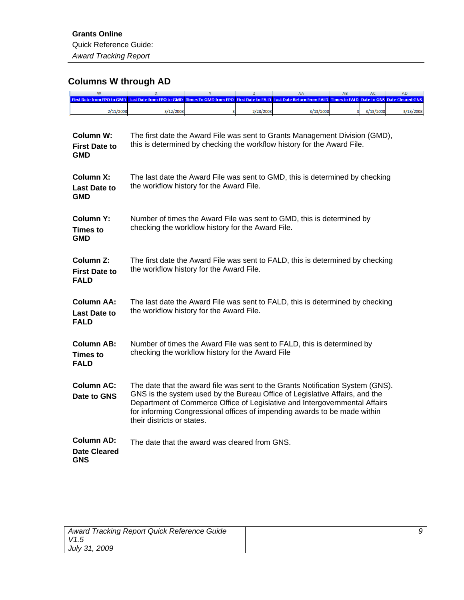# **Columns W through AD**

|                                                     |                                                              |   |                                        |                                                                                                                                                                                                                                                                                                                          |                      |           | AD                                        |
|-----------------------------------------------------|--------------------------------------------------------------|---|----------------------------------------|--------------------------------------------------------------------------------------------------------------------------------------------------------------------------------------------------------------------------------------------------------------------------------------------------------------------------|----------------------|-----------|-------------------------------------------|
| <b>First Date from FPO to GMD</b><br>2/11/2008      | Last Date from FPO to GMD Times To GMD from FPO<br>3/12/2008 | 3 | <b>First Date to FALD</b><br>2/28/2008 | <b>Last Date Return From FALD</b><br>3/13/2008                                                                                                                                                                                                                                                                           | <b>Times to FALD</b> | 3/13/2008 | Date to GNS Date Cleared GNS<br>3/13/2008 |
| <b>Column W:</b><br><b>First Date to</b><br>GMD     |                                                              |   |                                        | The first date the Award File was sent to Grants Management Division (GMD),<br>this is determined by checking the workflow history for the Award File.                                                                                                                                                                   |                      |           |                                           |
| Column X:<br><b>Last Date to</b><br><b>GMD</b>      | the workflow history for the Award File.                     |   |                                        | The last date the Award File was sent to GMD, this is determined by checking                                                                                                                                                                                                                                             |                      |           |                                           |
| Column Y:<br><b>Times to</b><br>GMD                 | checking the workflow history for the Award File.            |   |                                        | Number of times the Award File was sent to GMD, this is determined by                                                                                                                                                                                                                                                    |                      |           |                                           |
| Column Z:<br><b>First Date to</b><br><b>FALD</b>    | the workflow history for the Award File.                     |   |                                        | The first date the Award File was sent to FALD, this is determined by checking                                                                                                                                                                                                                                           |                      |           |                                           |
| <b>Column AA:</b><br>Last Date to<br><b>FALD</b>    | the workflow history for the Award File.                     |   |                                        | The last date the Award File was sent to FALD, this is determined by checking                                                                                                                                                                                                                                            |                      |           |                                           |
| <b>Column AB:</b><br><b>Times to</b><br><b>FALD</b> | checking the workflow history for the Award File             |   |                                        | Number of times the Award File was sent to FALD, this is determined by                                                                                                                                                                                                                                                   |                      |           |                                           |
| <b>Column AC:</b><br>Date to GNS                    | their districts or states.                                   |   |                                        | The date that the award file was sent to the Grants Notification System (GNS).<br>GNS is the system used by the Bureau Office of Legislative Affairs, and the<br>Department of Commerce Office of Legislative and Intergovernmental Affairs<br>for informing Congressional offices of impending awards to be made within |                      |           |                                           |
| Column AD:<br><b>Date Cleared</b><br>GNS            | The date that the award was cleared from GNS.                |   |                                        |                                                                                                                                                                                                                                                                                                                          |                      |           |                                           |

| Award Tracking Report Quick Reference Guide |  |
|---------------------------------------------|--|
| V1.5                                        |  |
| July 31, 2009                               |  |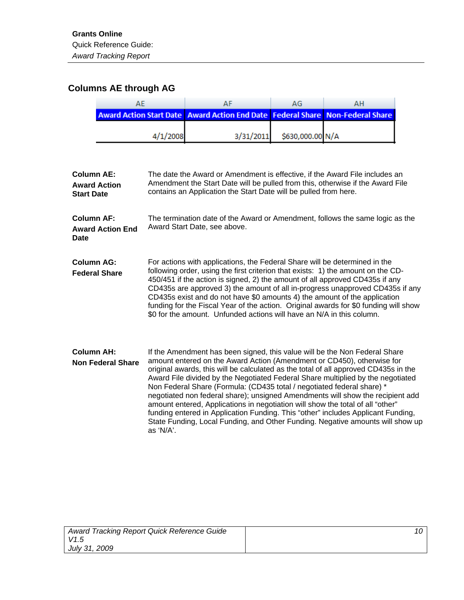## **Columns AE through AG**

|                                                                                     |           | AG               | ΔН |  |
|-------------------------------------------------------------------------------------|-----------|------------------|----|--|
| Award Action Start Date   Award Action End Date   Federal Share   Non-Federal Share |           |                  |    |  |
|                                                                                     |           |                  |    |  |
| 4/1/2008                                                                            | 3/31/2011 | \$630,000.00 N/A |    |  |

| <b>Column AE:</b><br><b>Award Action</b><br><b>Start Date</b> | The date the Award or Amendment is effective, if the Award File includes an<br>Amendment the Start Date will be pulled from this, otherwise if the Award File<br>contains an Application the Start Date will be pulled from here.                                                                                                                                                                                                                                                                                                                                                                                                                                                                                                                                 |
|---------------------------------------------------------------|-------------------------------------------------------------------------------------------------------------------------------------------------------------------------------------------------------------------------------------------------------------------------------------------------------------------------------------------------------------------------------------------------------------------------------------------------------------------------------------------------------------------------------------------------------------------------------------------------------------------------------------------------------------------------------------------------------------------------------------------------------------------|
| <b>Column AF:</b><br><b>Award Action End</b><br>Date          | The termination date of the Award or Amendment, follows the same logic as the<br>Award Start Date, see above.                                                                                                                                                                                                                                                                                                                                                                                                                                                                                                                                                                                                                                                     |
| <b>Column AG:</b><br><b>Federal Share</b>                     | For actions with applications, the Federal Share will be determined in the<br>following order, using the first criterion that exists: 1) the amount on the CD-<br>450/451 if the action is signed, 2) the amount of all approved CD435s if any<br>CD435s are approved 3) the amount of all in-progress unapproved CD435s if any<br>CD435s exist and do not have \$0 amounts 4) the amount of the application<br>funding for the Fiscal Year of the action. Original awards for \$0 funding will show<br>\$0 for the amount. Unfunded actions will have an N/A in this column.                                                                                                                                                                                     |
| <b>Column AH:</b><br><b>Non Federal Share</b>                 | If the Amendment has been signed, this value will be the Non Federal Share<br>amount entered on the Award Action (Amendment or CD450), otherwise for<br>original awards, this will be calculated as the total of all approved CD435s in the<br>Award File divided by the Negotiated Federal Share multiplied by the negotiated<br>Non Federal Share (Formula: (CD435 total / negotiated federal share) *<br>negotiated non federal share); unsigned Amendments will show the recipient add<br>amount entered, Applications in negotiation will show the total of all "other"<br>funding entered in Application Funding. This "other" includes Applicant Funding,<br>State Funding, Local Funding, and Other Funding. Negative amounts will show up<br>as $'N/A'.$ |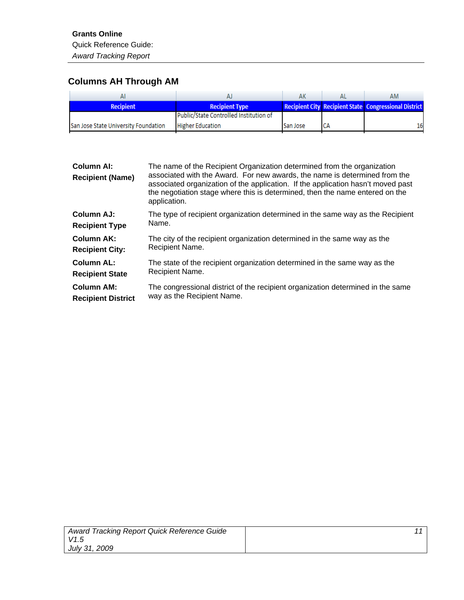## **Columns AH Through AM**

|                                      |                                        |          | AM                                                           |
|--------------------------------------|----------------------------------------|----------|--------------------------------------------------------------|
| <b>Recipient</b>                     | <b>Recipient Type</b>                  |          | <b>Recipient City Recipient State Congressional District</b> |
|                                      | Public/State Controlled Institution of |          |                                                              |
| San Jose State University Foundation | <b>Higher Education</b>                | San Jose | 16                                                           |

| <b>Column AI:</b><br><b>Recipient (Name)</b> | The name of the Recipient Organization determined from the organization<br>associated with the Award. For new awards, the name is determined from the<br>associated organization of the application. If the application hasn't moved past<br>the negotiation stage where this is determined, then the name entered on the<br>application. |
|----------------------------------------------|-------------------------------------------------------------------------------------------------------------------------------------------------------------------------------------------------------------------------------------------------------------------------------------------------------------------------------------------|
| Column AJ:                                   | The type of recipient organization determined in the same way as the Recipient                                                                                                                                                                                                                                                            |
| <b>Recipient Type</b>                        | Name.                                                                                                                                                                                                                                                                                                                                     |
| <b>Column AK:</b>                            | The city of the recipient organization determined in the same way as the                                                                                                                                                                                                                                                                  |
| <b>Recipient City:</b>                       | Recipient Name.                                                                                                                                                                                                                                                                                                                           |
| <b>Column AL:</b>                            | The state of the recipient organization determined in the same way as the                                                                                                                                                                                                                                                                 |
| <b>Recipient State</b>                       | Recipient Name.                                                                                                                                                                                                                                                                                                                           |
| <b>Column AM:</b>                            | The congressional district of the recipient organization determined in the same                                                                                                                                                                                                                                                           |
| <b>Recipient District</b>                    | way as the Recipient Name.                                                                                                                                                                                                                                                                                                                |